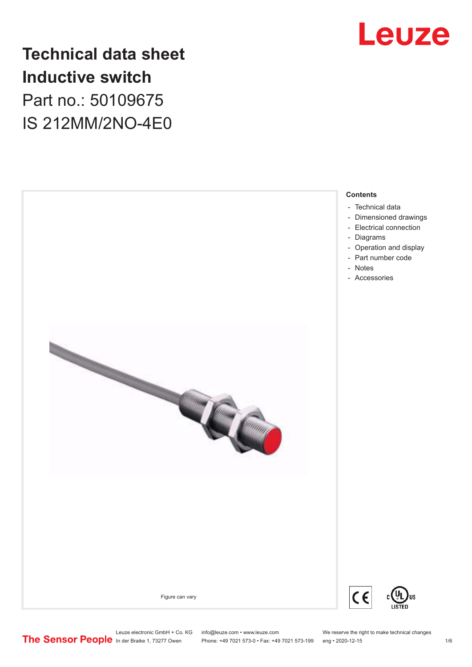

# **Technical data sheet Inductive switch** Part no.: 50109675 IS 212MM/2NO-4E0



Leuze electronic GmbH + Co. KG info@leuze.com • www.leuze.com We reserve the right to make technical changes<br>
The Sensor People in der Braike 1, 73277 Owen Phone: +49 7021 573-0 • Fax: +49 7021 573-199 eng • 2020-12-15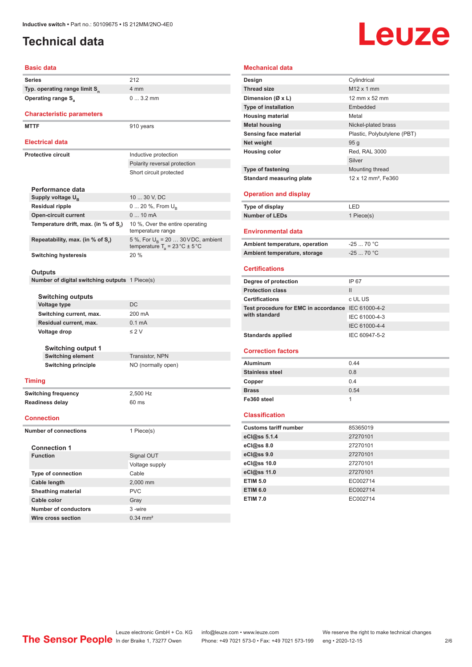# <span id="page-1-0"></span>**Technical data**

# Leuze

### **Basic data**

|                              | Series                                                | 212                                                  |  |
|------------------------------|-------------------------------------------------------|------------------------------------------------------|--|
|                              | Typ. operating range limit S <sub>n</sub>             | 4 mm                                                 |  |
|                              | <b>Operating range S</b> <sub>a</sub>                 | $03.2$ mm                                            |  |
|                              |                                                       |                                                      |  |
|                              | <b>Characteristic parameters</b>                      |                                                      |  |
|                              | <b>MTTF</b>                                           | 910 years                                            |  |
|                              |                                                       |                                                      |  |
|                              | <b>Electrical data</b>                                |                                                      |  |
|                              | <b>Protective circuit</b>                             | Inductive protection                                 |  |
|                              |                                                       | Polarity reversal protection                         |  |
|                              |                                                       | Short circuit protected                              |  |
|                              |                                                       |                                                      |  |
|                              | Performance data                                      |                                                      |  |
|                              | Supply voltage U <sub>B</sub>                         | 10  30 V, DC                                         |  |
|                              | <b>Residual ripple</b>                                | 0  20 %, From $U_{\rm B}$                            |  |
|                              | <b>Open-circuit current</b>                           | $010$ mA                                             |  |
|                              | Temperature drift, max. (in % of S.)                  | 10 %, Over the entire operating<br>temperature range |  |
|                              | Repeatability, max. (in % of S,)                      | 5 %, For $U_R$ = 20  30 V DC, ambient                |  |
|                              |                                                       | temperature $T_a = 23 \degree C \pm 5 \degree C$     |  |
|                              | <b>Switching hysteresis</b>                           | 20 %                                                 |  |
|                              |                                                       |                                                      |  |
|                              | Outputs                                               |                                                      |  |
|                              | <b>Number of digital switching outputs</b> 1 Piece(s) |                                                      |  |
|                              |                                                       |                                                      |  |
|                              | <b>Switching outputs</b>                              |                                                      |  |
|                              | Voltage type                                          | DC                                                   |  |
|                              | Switching current, max.                               | 200 mA                                               |  |
|                              | Residual current, max.                                | 0.1 <sub>m</sub> A                                   |  |
|                              | Voltage drop                                          | $\leq 2$ V                                           |  |
|                              |                                                       |                                                      |  |
|                              | <b>Switching output 1</b>                             |                                                      |  |
|                              | <b>Switching element</b>                              | <b>Transistor, NPN</b>                               |  |
|                              | <b>Switching principle</b>                            | NO (normally open)                                   |  |
|                              |                                                       |                                                      |  |
|                              | <b>Timing</b>                                         |                                                      |  |
| <b>Switching frequency</b>   |                                                       | 2,500 Hz                                             |  |
| <b>Readiness delay</b>       |                                                       | 60 ms                                                |  |
|                              |                                                       |                                                      |  |
| <b>Connection</b>            |                                                       |                                                      |  |
| <b>Number of connections</b> |                                                       | 1 Piece(s)                                           |  |
|                              |                                                       |                                                      |  |
|                              | <b>Connection 1</b>                                   |                                                      |  |
|                              | <b>Function</b>                                       | Signal OUT                                           |  |
|                              |                                                       | Voltage supply                                       |  |
|                              | <b>Type of connection</b>                             | Cable                                                |  |
|                              | Cable length                                          | 2,000 mm                                             |  |
|                              | <b>Sheathing material</b>                             | <b>PVC</b>                                           |  |
|                              | Cable color                                           | Gray                                                 |  |
|                              | <b>Number of conductors</b>                           | 3 -wire                                              |  |

| <b>Mechanical data</b>                             |                                 |  |  |
|----------------------------------------------------|---------------------------------|--|--|
| Design                                             | Cylindrical                     |  |  |
| <b>Thread size</b>                                 | $M12 \times 1$ mm               |  |  |
| Dimension (Ø x L)                                  | 12 mm x 52 mm                   |  |  |
| <b>Type of installation</b>                        | Embedded                        |  |  |
| <b>Housing material</b>                            | Metal                           |  |  |
| <b>Metal housing</b>                               | Nickel-plated brass             |  |  |
| Sensing face material                              | Plastic, Polybutylene (PBT)     |  |  |
| Net weight                                         | 95 <sub>g</sub>                 |  |  |
| <b>Housing color</b>                               | Red, RAL 3000                   |  |  |
|                                                    | Silver                          |  |  |
| <b>Type of fastening</b>                           | Mounting thread                 |  |  |
| <b>Standard measuring plate</b>                    | 12 x 12 mm <sup>2</sup> , Fe360 |  |  |
|                                                    |                                 |  |  |
| <b>Operation and display</b>                       |                                 |  |  |
| <b>Type of display</b>                             | LED                             |  |  |
| <b>Number of LEDs</b>                              | 1 Piece(s)                      |  |  |
| <b>Environmental data</b>                          |                                 |  |  |
| Ambient temperature, operation                     | $-2570 °C$                      |  |  |
| Ambient temperature, storage                       | $-2570 °C$                      |  |  |
|                                                    |                                 |  |  |
| <b>Certifications</b>                              |                                 |  |  |
| Degree of protection                               | IP 67                           |  |  |
| <b>Protection class</b>                            | $\mathbf{H}$                    |  |  |
| <b>Certifications</b>                              | c UL US                         |  |  |
| Test procedure for EMC in accordance IEC 61000-4-2 |                                 |  |  |
| with standard                                      | IEC 61000-4-3                   |  |  |
|                                                    | IEC 61000-4-4                   |  |  |
| <b>Standards applied</b>                           | IEC 60947-5-2                   |  |  |
|                                                    |                                 |  |  |
| <b>Correction factors</b>                          |                                 |  |  |
| Aluminum                                           | 0.44                            |  |  |
| <b>Stainless steel</b>                             | 0.8                             |  |  |
| Copper                                             | 0.4                             |  |  |
| <b>Brass</b>                                       | 0.54                            |  |  |
| Fe360 steel                                        | 1                               |  |  |
| <b>Classification</b>                              |                                 |  |  |
| <b>Customs tariff number</b>                       | 85365019                        |  |  |
| eCl@ss 5.1.4                                       | 27270101                        |  |  |
| eCl@ss 8.0                                         | 27270101                        |  |  |
| eCl@ss 9.0                                         | 27270101                        |  |  |
| eCl@ss 10.0                                        | 27270101                        |  |  |
| eCl@ss 11.0                                        | 27270101                        |  |  |
|                                                    |                                 |  |  |
| <b>ETIM 5.0</b>                                    | EC002714                        |  |  |
| <b>ETIM 6.0</b>                                    | EC002714                        |  |  |

**Wire cross section** 0.34 mm<sup>2</sup>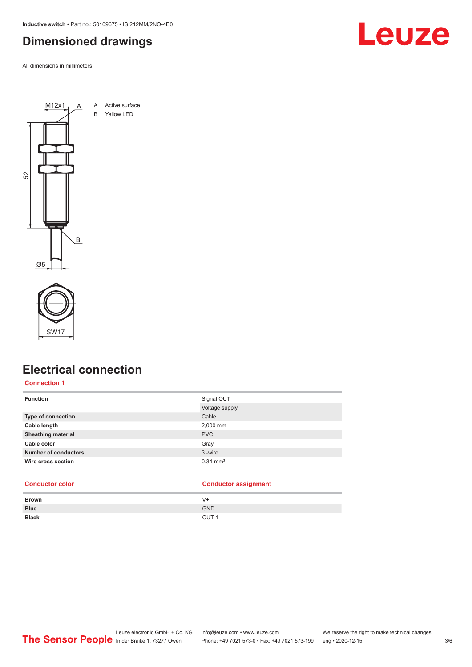<span id="page-2-0"></span>**Inductive switch •** Part no.: 50109675 **•** IS 212MM/2NO-4E0

# **Dimensioned drawings**

All dimensions in millimeters







# **Electrical connection**

### **Connection 1**

| <b>Function</b>             | Signal OUT            |
|-----------------------------|-----------------------|
|                             | Voltage supply        |
| <b>Type of connection</b>   | Cable                 |
| Cable length                | 2,000 mm              |
| <b>Sheathing material</b>   | <b>PVC</b>            |
| Cable color                 | Gray                  |
| <b>Number of conductors</b> | 3-wire                |
| Wire cross section          | $0.34 \, \text{mm}^2$ |

### **Conductor color Conductor assignment**

| <b>Brown</b> | V+               |
|--------------|------------------|
| <b>Blue</b>  | <b>GND</b>       |
| <b>Black</b> | OUT <sub>1</sub> |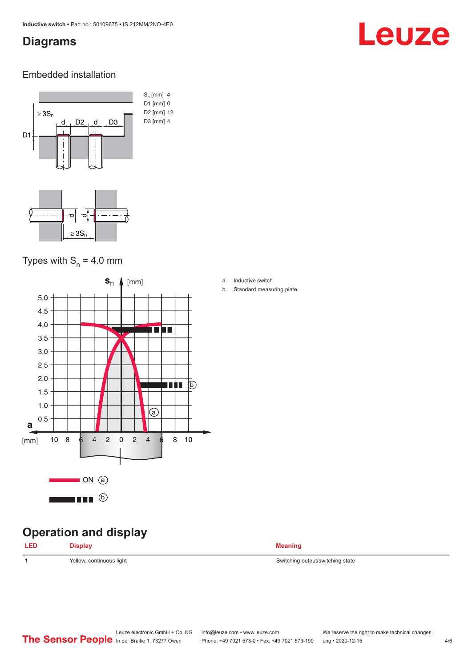# <span id="page-3-0"></span>**Diagrams**

# Leuze

### Embedded installation



# Types with  $S_n = 4.0$  mm



# **Operation and display**

| <b>IFD</b><br>___ | ---- | eanınd<br>$\cdots$ |
|-------------------|------|--------------------|
|                   |      |                    |

- a Inductive switch
- b Standard measuring plate

**1** Yellow, continuous light Switching output/switching state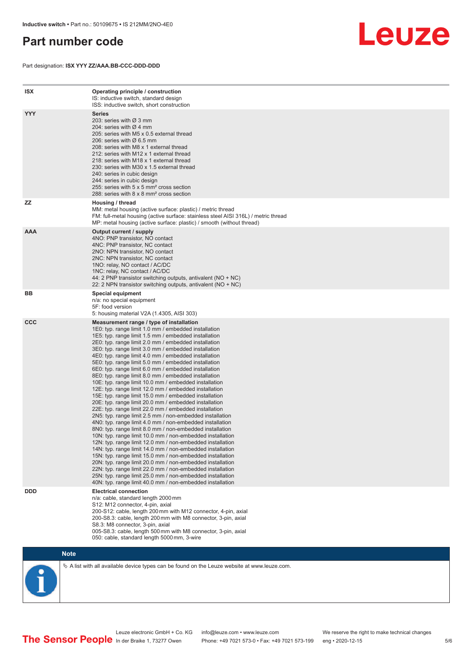# <span id="page-4-0"></span>**Part number code**

Part designation: **ISX YYY ZZ/AAA.BB-CCC-DDD-DDD**



| <b>ISX</b> | Operating principle / construction<br>IS: inductive switch, standard design<br>ISS: inductive switch, short construction                                                                                                                                                                                                                                                                                                                                                                                                                                                                                                                                                                                                                                                                                                                                                                                                                                                                                                                                                                                                                                                                                                                                                                                                                                                                                                                                                                          |
|------------|---------------------------------------------------------------------------------------------------------------------------------------------------------------------------------------------------------------------------------------------------------------------------------------------------------------------------------------------------------------------------------------------------------------------------------------------------------------------------------------------------------------------------------------------------------------------------------------------------------------------------------------------------------------------------------------------------------------------------------------------------------------------------------------------------------------------------------------------------------------------------------------------------------------------------------------------------------------------------------------------------------------------------------------------------------------------------------------------------------------------------------------------------------------------------------------------------------------------------------------------------------------------------------------------------------------------------------------------------------------------------------------------------------------------------------------------------------------------------------------------------|
| <b>YYY</b> | Series<br>203: series with Ø 3 mm<br>204: series with $\varnothing$ 4 mm<br>205: series with M5 x 0.5 external thread<br>206: series with $\varnothing$ 6.5 mm<br>208: series with M8 x 1 external thread<br>212: series with M12 x 1 external thread<br>218: series with M18 x 1 external thread<br>230: series with M30 x 1.5 external thread<br>240: series in cubic design<br>244: series in cubic design<br>255: series with 5 x 5 mm <sup>2</sup> cross section<br>288: series with 8 x 8 mm <sup>2</sup> cross section                                                                                                                                                                                                                                                                                                                                                                                                                                                                                                                                                                                                                                                                                                                                                                                                                                                                                                                                                                     |
| <b>ZZ</b>  | Housing / thread<br>MM: metal housing (active surface: plastic) / metric thread<br>FM: full-metal housing (active surface: stainless steel AISI 316L) / metric thread<br>MP: metal housing (active surface: plastic) / smooth (without thread)                                                                                                                                                                                                                                                                                                                                                                                                                                                                                                                                                                                                                                                                                                                                                                                                                                                                                                                                                                                                                                                                                                                                                                                                                                                    |
| <b>AAA</b> | Output current / supply<br>4NO: PNP transistor, NO contact<br>4NC: PNP transistor, NC contact<br>2NO: NPN transistor, NO contact<br>2NC: NPN transistor, NC contact<br>1NO: relay, NO contact / AC/DC<br>1NC: relay, NC contact / AC/DC<br>44: 2 PNP transistor switching outputs, antivalent (NO + NC)<br>22: 2 NPN transistor switching outputs, antivalent (NO + NC)                                                                                                                                                                                                                                                                                                                                                                                                                                                                                                                                                                                                                                                                                                                                                                                                                                                                                                                                                                                                                                                                                                                           |
| BB         | Special equipment<br>n/a: no special equipment<br>5F: food version<br>5: housing material V2A (1.4305, AISI 303)                                                                                                                                                                                                                                                                                                                                                                                                                                                                                                                                                                                                                                                                                                                                                                                                                                                                                                                                                                                                                                                                                                                                                                                                                                                                                                                                                                                  |
| <b>CCC</b> | Measurement range / type of installation<br>1E0: typ. range limit 1.0 mm / embedded installation<br>1E5: typ. range limit 1.5 mm / embedded installation<br>2E0: typ. range limit 2.0 mm / embedded installation<br>3E0: typ. range limit 3.0 mm / embedded installation<br>4E0: typ. range limit 4.0 mm / embedded installation<br>5E0: typ. range limit 5.0 mm / embedded installation<br>6E0: typ. range limit 6.0 mm / embedded installation<br>8E0: typ. range limit 8.0 mm / embedded installation<br>10E: typ. range limit 10.0 mm / embedded installation<br>12E: typ. range limit 12.0 mm / embedded installation<br>15E: typ. range limit 15.0 mm / embedded installation<br>20E: typ. range limit 20.0 mm / embedded installation<br>22E: typ. range limit 22.0 mm / embedded installation<br>2N5: typ. range limit 2.5 mm / non-embedded installation<br>4N0: typ. range limit 4.0 mm / non-embedded installation<br>8N0: typ. range limit 8.0 mm / non-embedded installation<br>10N: typ. range limit 10.0 mm / non-embedded installation<br>12N: typ. range limit 12.0 mm / non-embedded installation<br>14N: typ. range limit 14.0 mm / non-embedded installation<br>15N: typ. range limit 15.0 mm / non-embedded installation<br>20N: typ. range limit 20.0 mm / non-embedded installation<br>22N: typ. range limit 22.0 mm / non-embedded installation<br>25N: typ. range limit 25.0 mm / non-embedded installation<br>40N: typ. range limit 40.0 mm / non-embedded installation |
| <b>DDD</b> | <b>Electrical connection</b><br>n/a: cable, standard length 2000 mm<br>S12: M12 connector, 4-pin, axial<br>200-S12: cable, length 200 mm with M12 connector, 4-pin, axial<br>200-S8.3: cable, length 200 mm with M8 connector, 3-pin, axial<br>S8.3: M8 connector, 3-pin, axial<br>005-S8.3: cable, length 500 mm with M8 connector, 3-pin, axial<br>050: cable, standard length 5000 mm, 3-wire                                                                                                                                                                                                                                                                                                                                                                                                                                                                                                                                                                                                                                                                                                                                                                                                                                                                                                                                                                                                                                                                                                  |

**Note**

 $\%$  A list with all available device types can be found on the Leuze website at www.leuze.com.

Leuze electronic GmbH + Co. KG info@leuze.com • www.leuze.com We reserve the right to make technical changes In der Braike 1, 73277 Owen Phone: +49 7021 573-0 • Fax: +49 7021 573-199 eng • 2020-12-15